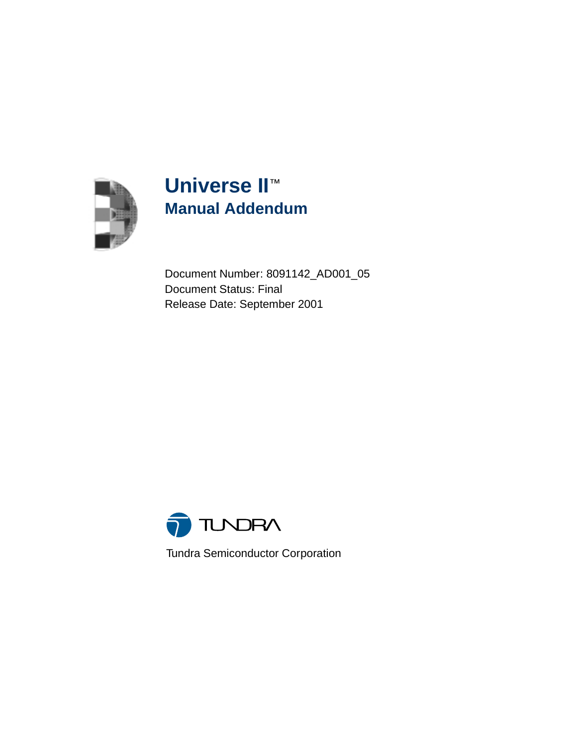

# **Universe II**™ **Manual Addendum**

Document Number: 8091142\_AD001\_05 Document Status: Final Release Date: September 2001



Tundra Semiconductor Corporation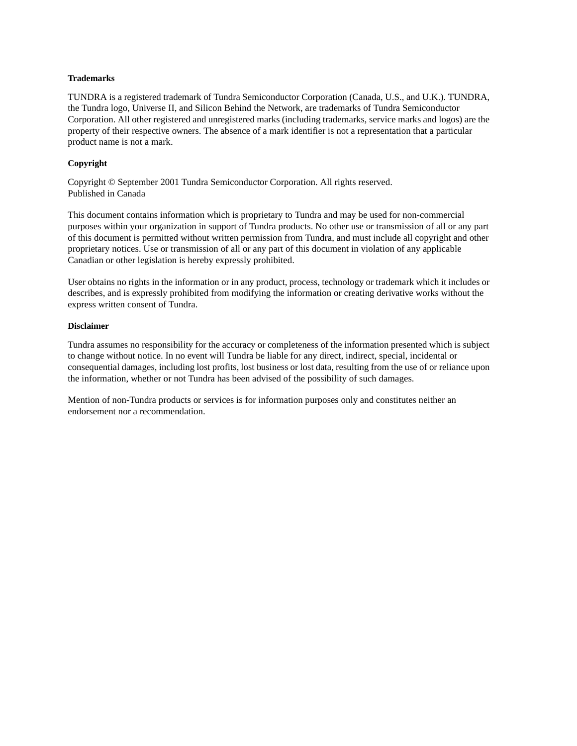#### **Trademarks**

TUNDRA is a registered trademark of Tundra Semiconductor Corporation (Canada, U.S., and U.K.). TUNDRA, the Tundra logo, Universe II, and Silicon Behind the Network, are trademarks of Tundra Semiconductor Corporation. All other registered and unregistered marks (including trademarks, service marks and logos) are the property of their respective owners. The absence of a mark identifier is not a representation that a particular product name is not a mark.

#### **Copyright**

Copyright © September 2001 Tundra Semiconductor Corporation. All rights reserved. Published in Canada

This document contains information which is proprietary to Tundra and may be used for non-commercial purposes within your organization in support of Tundra products. No other use or transmission of all or any part of this document is permitted without written permission from Tundra, and must include all copyright and other proprietary notices. Use or transmission of all or any part of this document in violation of any applicable Canadian or other legislation is hereby expressly prohibited.

User obtains no rights in the information or in any product, process, technology or trademark which it includes or describes, and is expressly prohibited from modifying the information or creating derivative works without the express written consent of Tundra.

#### **Disclaimer**

Tundra assumes no responsibility for the accuracy or completeness of the information presented which is subject to change without notice. In no event will Tundra be liable for any direct, indirect, special, incidental or consequential damages, including lost profits, lost business or lost data, resulting from the use of or reliance upon the information, whether or not Tundra has been advised of the possibility of such damages.

Mention of non-Tundra products or services is for information purposes only and constitutes neither an endorsement nor a recommendation.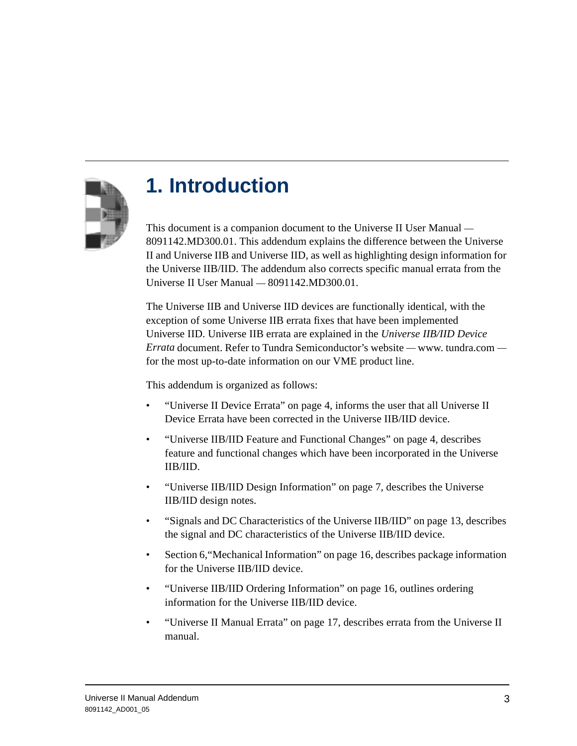

# **1. Introduction**

This document is a companion document to the Universe II User Manual — 8091142.MD300.01. This addendum explains the difference between the Universe II and Universe IIB and Universe IID, as well as highlighting design information for the Universe IIB/IID. The addendum also corrects specific manual errata from the Universe II User Manual — 8091142.MD300.01.

The Universe IIB and Universe IID devices are functionally identical, with the exception of some Universe IIB errata fixes that have been implemented Universe IID. Universe IIB errata are explained in the *Universe IIB/IID Device Errata* document. Refer to Tundra Semiconductor's website — www. tundra.com for the most up-to-date information on our VME product line.

This addendum is organized as follows:

- • ["Universe II Device Errata" on page 4](#page-3-0), informs the user that all Universe II Device Errata have been corrected in the Universe IIB/IID device.
- • ["Universe IIB/IID Feature and Functional Changes" on page 4](#page-3-1), describes feature and functional changes which have been incorporated in the Universe IIB/IID.
- • ["Universe IIB/IID Design Information" on page 7](#page-6-0), describes the Universe IIB/IID design notes.
- • ["Signals and DC Characteristics of the Universe IIB/IID" on page 13](#page-12-0), describes the signal and DC characteristics of the Universe IIB/IID device.
- Section 6[,"Mechanical Information" on page 16](#page-15-0), describes package information for the Universe IIB/IID device.
- • ["Universe IIB/IID Ordering Information" on page 16,](#page-15-1) outlines ordering information for the Universe IIB/IID device.
- • ["Universe II Manual Errata" on page 17,](#page-16-0) describes errata from the Universe II manual.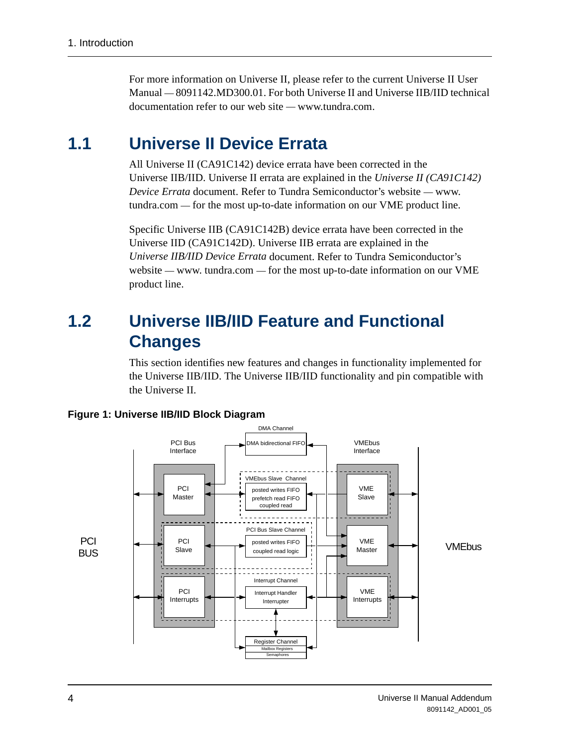For more information on Universe II, please refer to the current Universe II User Manual — 8091142.MD300.01. For both Universe II and Universe IIB/IID technical documentation refer to our web site — www.tundra.com.

## <span id="page-3-0"></span>**1.1 Universe II Device Errata**

All Universe II (CA91C142) device errata have been corrected in the Universe IIB/IID. Universe II errata are explained in the *Universe II (CA91C142) Device Errata* document. Refer to Tundra Semiconductor's website — www. tundra.com — for the most up-to-date information on our VME product line.

Specific Universe IIB (CA91C142B) device errata have been corrected in the Universe IID (CA91C142D). Universe IIB errata are explained in the *Universe IIB/IID Device Errata* document. Refer to Tundra Semiconductor's website — www. tundra.com — for the most up-to-date information on our VME product line.

## <span id="page-3-1"></span>**1.2 Universe IIB/IID Feature and Functional Changes**

This section identifies new features and changes in functionality implemented for the Universe IIB/IID. The Universe IIB/IID functionality and pin compatible with the Universe II.



**Figure 1: Universe IIB/IID Block Diagram**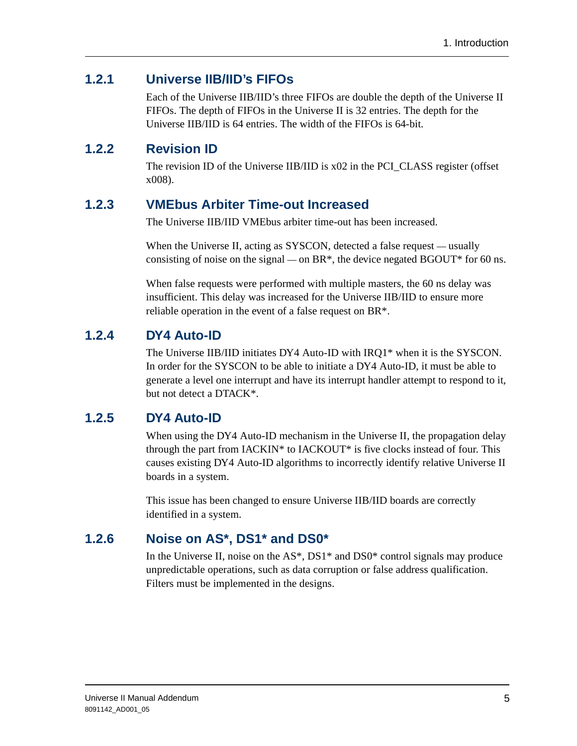### **1.2.1 Universe IIB/IID's FIFOs**

Each of the Universe IIB/IID's three FIFOs are double the depth of the Universe II FIFOs. The depth of FIFOs in the Universe II is 32 entries. The depth for the Universe IIB/IID is 64 entries. The width of the FIFOs is 64-bit.

### **1.2.2 Revision ID**

The revision ID of the Universe IIB/IID is  $x02$  in the PCI CLASS register (offset x008).

### **1.2.3 VMEbus Arbiter Time-out Increased**

The Universe IIB/IID VMEbus arbiter time-out has been increased.

When the Universe II, acting as SYSCON, detected a false request — usually consisting of noise on the signal — on  $BR^*$ , the device negated BGOUT\* for 60 ns.

When false requests were performed with multiple masters, the 60 ns delay was insufficient. This delay was increased for the Universe IIB/IID to ensure more reliable operation in the event of a false request on BR\*.

### **1.2.4 DY4 Auto-ID**

The Universe IIB/IID initiates DY4 Auto-ID with IRQ1\* when it is the SYSCON. In order for the SYSCON to be able to initiate a DY4 Auto-ID, it must be able to generate a level one interrupt and have its interrupt handler attempt to respond to it, but not detect a DTACK\*.

### **1.2.5 DY4 Auto-ID**

When using the DY4 Auto-ID mechanism in the Universe II, the propagation delay through the part from IACKIN\* to IACKOUT\* is five clocks instead of four. This causes existing DY4 Auto-ID algorithms to incorrectly identify relative Universe II boards in a system.

This issue has been changed to ensure Universe IIB/IID boards are correctly identified in a system.

### **1.2.6 Noise on AS\*, DS1\* and DS0\***

In the Universe II, noise on the  $AS^*$ ,  $DS1^*$  and  $DS0^*$  control signals may produce unpredictable operations, such as data corruption or false address qualification. Filters must be implemented in the designs.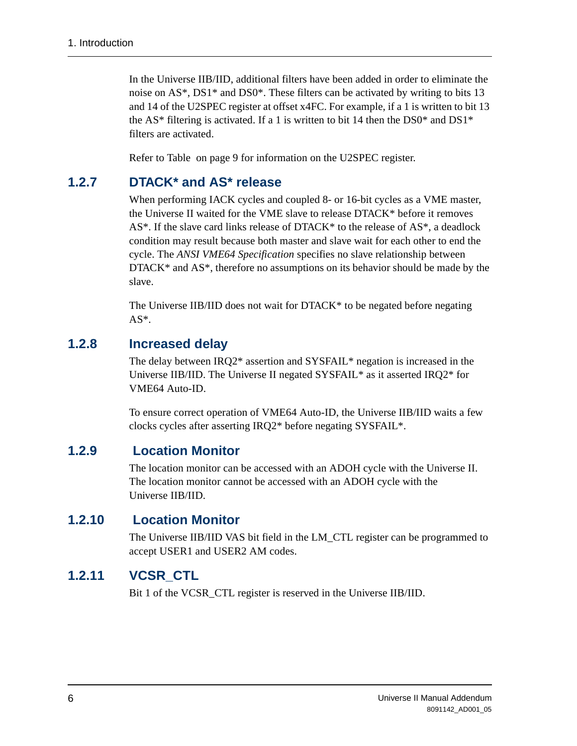In the Universe IIB/IID, additional filters have been added in order to eliminate the noise on AS\*, DS1\* and DS0\*. These filters can be activated by writing to bits 13 and 14 of the U2SPEC register at offset x4FC. For example, if a 1 is written to bit 13 the AS\* filtering is activated. If a 1 is written to bit 14 then the DS0\* and DS1\* filters are activated.

Refer to [Table on page 9](#page-8-0) for information on the U2SPEC register.

### **1.2.7 DTACK\* and AS\* release**

When performing IACK cycles and coupled 8- or 16-bit cycles as a VME master, the Universe II waited for the VME slave to release DTACK\* before it removes  $AS^*$ . If the slave card links release of DTACK\* to the release of  $AS^*$ , a deadlock condition may result because both master and slave wait for each other to end the cycle. The *ANSI VME64 Specification* specifies no slave relationship between  $DTACK^*$  and  $AS^*$ , therefore no assumptions on its behavior should be made by the slave.

The Universe IIB/IID does not wait for DTACK\* to be negated before negating AS\*.

#### **1.2.8 Increased delay**

The delay between IRQ2\* assertion and SYSFAIL\* negation is increased in the Universe IIB/IID. The Universe II negated SYSFAIL\* as it asserted IRQ2\* for VME64 Auto-ID.

To ensure correct operation of VME64 Auto-ID, the Universe IIB/IID waits a few clocks cycles after asserting IRQ2\* before negating SYSFAIL\*.

#### **1.2.9 Location Monitor**

The location monitor can be accessed with an ADOH cycle with the Universe II. The location monitor cannot be accessed with an ADOH cycle with the Universe IIB/IID.

### **1.2.10 Location Monitor**

The Universe IIB/IID VAS bit field in the LM\_CTL register can be programmed to accept USER1 and USER2 AM codes.

#### **1.2.11 VCSR\_CTL**

Bit 1 of the VCSR\_CTL register is reserved in the Universe IIB/IID.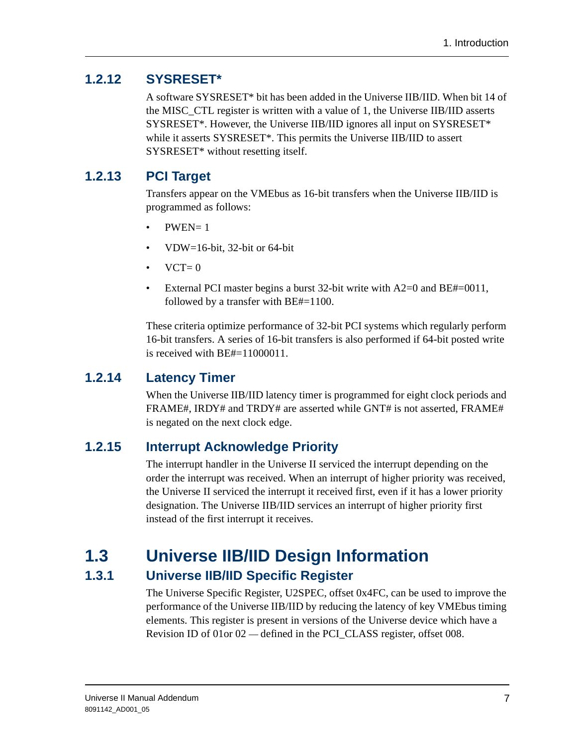### **1.2.12 SYSRESET\***

A software SYSRESET\* bit has been added in the Universe IIB/IID. When bit 14 of the MISC\_CTL register is written with a value of 1, the Universe IIB/IID asserts SYSRESET\*. However, the Universe IIB/IID ignores all input on SYSRESET\* while it asserts SYSRESET\*. This permits the Universe IIB/IID to assert SYSRESET\* without resetting itself.

### **1.2.13 PCI Target**

Transfers appear on the VMEbus as 16-bit transfers when the Universe IIB/IID is programmed as follows:

- $\bullet$  PWEN= 1
- VDW=16-bit, 32-bit or 64-bit
- $\bullet$  VCT= 0
- External PCI master begins a burst 32-bit write with  $A2=0$  and  $BE#=0011$ , followed by a transfer with BE#=1100.

These criteria optimize performance of 32-bit PCI systems which regularly perform 16-bit transfers. A series of 16-bit transfers is also performed if 64-bit posted write is received with BE#=11000011.

### **1.2.14 Latency Timer**

When the Universe IIB/IID latency timer is programmed for eight clock periods and FRAME#, IRDY# and TRDY# are asserted while GNT# is not asserted, FRAME# is negated on the next clock edge.

### **1.2.15 Interrupt Acknowledge Priority**

The interrupt handler in the Universe II serviced the interrupt depending on the order the interrupt was received. When an interrupt of higher priority was received, the Universe II serviced the interrupt it received first, even if it has a lower priority designation. The Universe IIB/IID services an interrupt of higher priority first instead of the first interrupt it receives.

## <span id="page-6-0"></span>**1.3 Universe IIB/IID Design Information**

### **1.3.1 Universe IIB/IID Specific Register**

The Universe Specific Register, U2SPEC, offset 0x4FC, can be used to improve the performance of the Universe IIB/IID by reducing the latency of key VMEbus timing elements. This register is present in versions of the Universe device which have a Revision ID of 01 or 02 — defined in the PCI CLASS register, offset 008.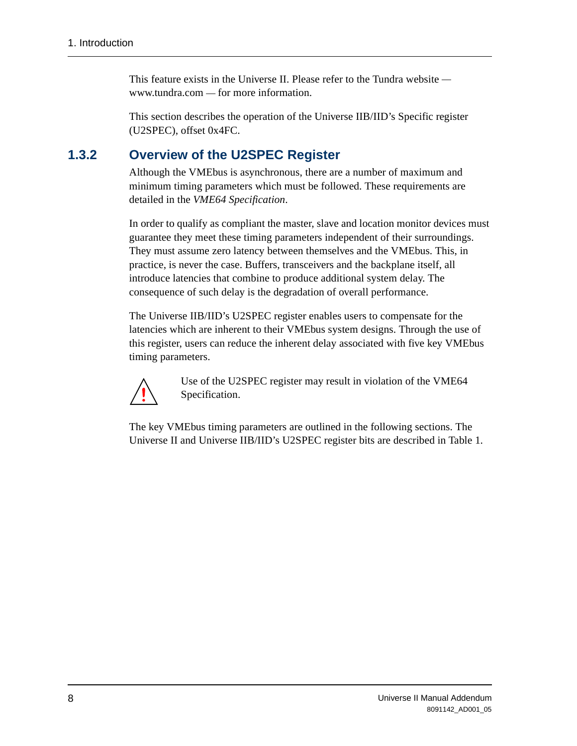This feature exists in the Universe II. Please refer to the Tundra website www.tundra.com — for more information.

This section describes the operation of the Universe IIB/IID's Specific register (U2SPEC), offset 0x4FC.

### **1.3.2 Overview of the U2SPEC Register**

Although the VMEbus is asynchronous, there are a number of maximum and minimum timing parameters which must be followed. These requirements are detailed in the *VME64 Specification*.

In order to qualify as compliant the master, slave and location monitor devices must guarantee they meet these timing parameters independent of their surroundings. They must assume zero latency between themselves and the VMEbus. This, in practice, is never the case. Buffers, transceivers and the backplane itself, all introduce latencies that combine to produce additional system delay. The consequence of such delay is the degradation of overall performance.

The Universe IIB/IID's U2SPEC register enables users to compensate for the latencies which are inherent to their VMEbus system designs. Through the use of this register, users can reduce the inherent delay associated with five key VMEbus timing parameters.



Use of the U2SPEC register may result in violation of the VME64 Specification.

The key VMEbus timing parameters are outlined in the following sections. The Universe II and Universe IIB/IID's U2SPEC register bits are described in [Table 1.](#page-8-1)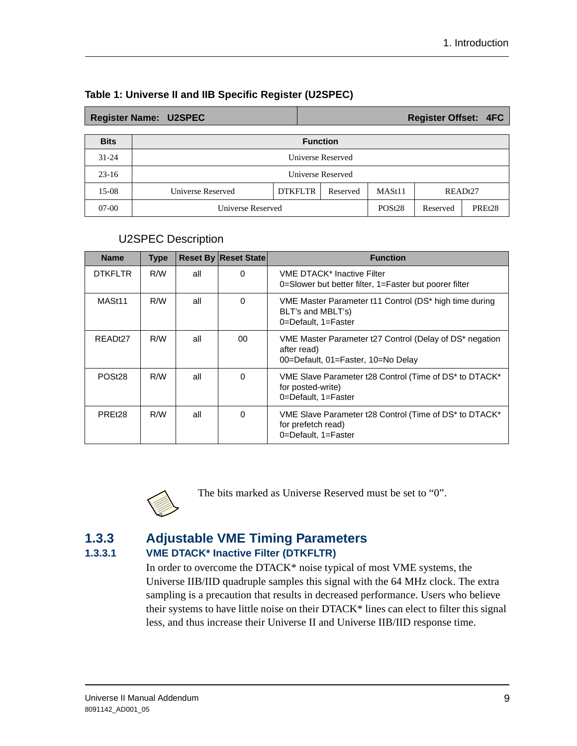|             | <b>Register Name: U2SPEC</b>                                                     |                 |  |  | <b>Register Offset: 4FC</b> |                     |
|-------------|----------------------------------------------------------------------------------|-----------------|--|--|-----------------------------|---------------------|
| <b>Bits</b> |                                                                                  | <b>Function</b> |  |  |                             |                     |
| $31 - 24$   | <b>Universe Reserved</b>                                                         |                 |  |  |                             |                     |
| $23-16$     | <b>Universe Reserved</b>                                                         |                 |  |  |                             |                     |
| 15-08       | <b>DTKFLTR</b><br>Universe Reserved<br>MASt <sub>11</sub><br>READt27<br>Reserved |                 |  |  |                             |                     |
| $07-00$     | Universe Reserved                                                                |                 |  |  | Reserved                    | PRE <sub>t</sub> 28 |

#### <span id="page-8-1"></span><span id="page-8-0"></span>**Table 1: Universe II and IIB Specific Register (U2SPEC)**

#### U2SPEC Description

| <b>Name</b>        | <b>Type</b> |     | <b>Reset By Reset State</b> | <b>Function</b>                                                                                              |
|--------------------|-------------|-----|-----------------------------|--------------------------------------------------------------------------------------------------------------|
| <b>DTKFLTR</b>     | R/W         | all | $\Omega$                    | <b>VME DTACK* Inactive Filter</b><br>0=Slower but better filter, 1=Faster but poorer filter                  |
| MASt <sub>11</sub> | R/W         | all | $\Omega$                    | VME Master Parameter t11 Control (DS* high time during<br>BLT's and MBLT's)<br>0=Default, 1=Faster           |
| READt27            | R/W         | all | 00                          | VME Master Parameter t27 Control (Delay of DS* negation<br>after read)<br>00=Default, 01=Faster, 10=No Delay |
| POSt <sub>28</sub> | R/W         | all | $\Omega$                    | VME Slave Parameter t28 Control (Time of DS* to DTACK*<br>for posted-write)<br>0=Default, 1=Faster           |
| PRE <sub>t28</sub> | R/W         | all | $\Omega$                    | VME Slave Parameter t28 Control (Time of DS* to DTACK*<br>for prefetch read)<br>0=Default, 1=Faster          |



The bits marked as Universe Reserved must be set to "0".

#### **1.3.3 Adjustable VME Timing Parameters 1.3.3.1 VME DTACK\* Inactive Filter (DTKFLTR)**

In order to overcome the DTACK\* noise typical of most VME systems, the Universe IIB/IID quadruple samples this signal with the 64 MHz clock. The extra sampling is a precaution that results in decreased performance. Users who believe their systems to have little noise on their DTACK\* lines can elect to filter this signal less, and thus increase their Universe II and Universe IIB/IID response time.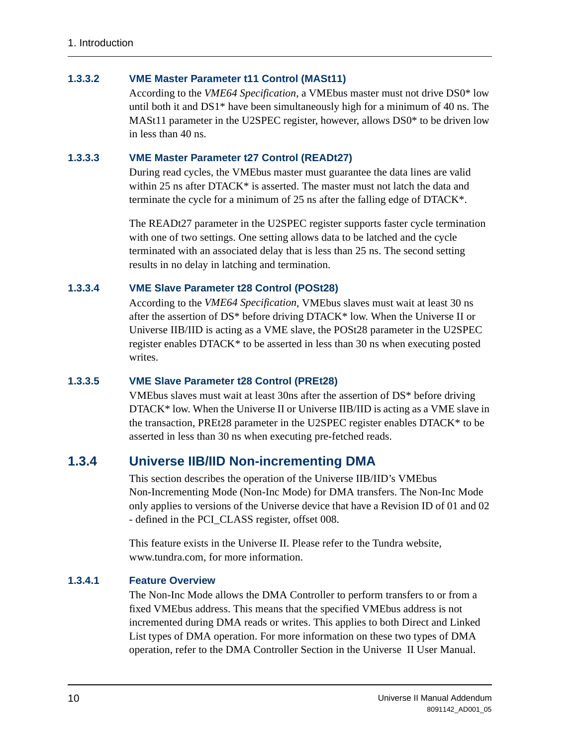#### **1.3.3.2 VME Master Parameter t11 Control (MASt11)**

According to the *VME64 Specification*, a VMEbus master must not drive DS0\* low until both it and DS1\* have been simultaneously high for a minimum of 40 ns. The MASt11 parameter in the U2SPEC register, however, allows DS0\* to be driven low in less than 40 ns.

#### **1.3.3.3 VME Master Parameter t27 Control (READt27)**

During read cycles, the VMEbus master must guarantee the data lines are valid within 25 ns after DTACK\* is asserted. The master must not latch the data and terminate the cycle for a minimum of 25 ns after the falling edge of DTACK\*.

The READt27 parameter in the U2SPEC register supports faster cycle termination with one of two settings. One setting allows data to be latched and the cycle terminated with an associated delay that is less than 25 ns. The second setting results in no delay in latching and termination.

#### **1.3.3.4 VME Slave Parameter t28 Control (POSt28)**

According to the *VME64 Specification*, VMEbus slaves must wait at least 30 ns after the assertion of DS\* before driving DTACK\* low. When the Universe II or Universe IIB/IID is acting as a VME slave, the POSt28 parameter in the U2SPEC register enables DTACK\* to be asserted in less than 30 ns when executing posted writes.

#### **1.3.3.5 VME Slave Parameter t28 Control (PREt28)**

VMEbus slaves must wait at least 30ns after the assertion of DS\* before driving DTACK\* low. When the Universe II or Universe IIB/IID is acting as a VME slave in the transaction, PREt28 parameter in the U2SPEC register enables DTACK\* to be asserted in less than 30 ns when executing pre-fetched reads.

#### **1.3.4 Universe IIB/IID Non-incrementing DMA**

This section describes the operation of the Universe IIB/IID's VMEbus Non-Incrementing Mode (Non-Inc Mode) for DMA transfers. The Non-Inc Mode only applies to versions of the Universe device that have a Revision ID of 01 and 02 - defined in the PCI\_CLASS register, offset 008.

This feature exists in the Universe II. Please refer to the Tundra website, www.tundra.com, for more information.

#### **1.3.4.1 Feature Overview**

The Non-Inc Mode allows the DMA Controller to perform transfers to or from a fixed VMEbus address. This means that the specified VMEbus address is not incremented during DMA reads or writes. This applies to both Direct and Linked List types of DMA operation. For more information on these two types of DMA operation, refer to the DMA Controller Section in the Universe II User Manual.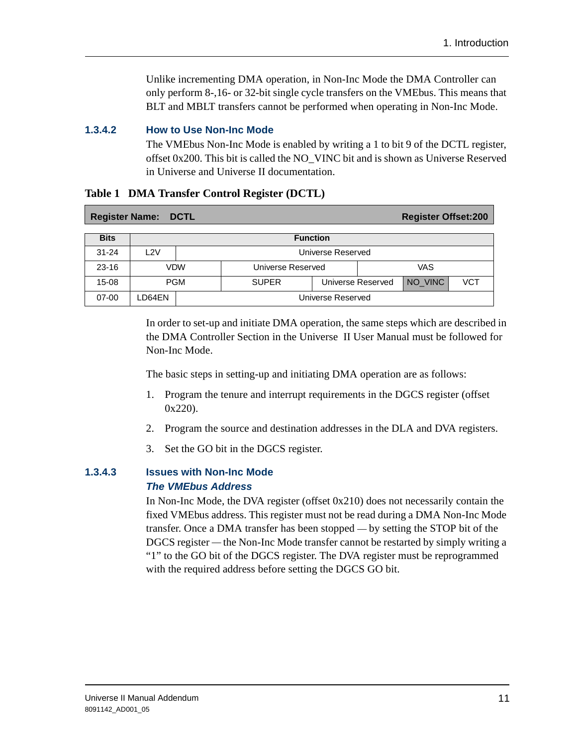Unlike incrementing DMA operation, in Non-Inc Mode the DMA Controller can only perform 8-,16- or 32-bit single cycle transfers on the VMEbus. This means that BLT and MBLT transfers cannot be performed when operating in Non-Inc Mode.

#### **1.3.4.2 How to Use Non-Inc Mode**

The VMEbus Non-Inc Mode is enabled by writing a 1 to bit 9 of the DCTL register, offset 0x200. This bit is called the NO\_VINC bit and is shown as Universe Reserved in Universe and Universe II documentation.

|             | <b>Register Name: DCTL</b> |            |                                   |  |  | <b>Register Offset:200</b> |            |
|-------------|----------------------------|------------|-----------------------------------|--|--|----------------------------|------------|
| <b>Bits</b> | <b>Function</b>            |            |                                   |  |  |                            |            |
| $31 - 24$   | L2V                        |            | Universe Reserved                 |  |  |                            |            |
| $23 - 16$   |                            | VDW        | VAS<br>Universe Reserved          |  |  |                            |            |
| $15 - 08$   |                            | <b>PGM</b> | <b>SUPER</b><br>Universe Reserved |  |  | NO_VINC                    | <b>VCT</b> |
| $07 - 00$   | LD64EN                     |            | Universe Reserved                 |  |  |                            |            |

#### **Table 1 DMA Transfer Control Register (DCTL)**

In order to set-up and initiate DMA operation, the same steps which are described in the DMA Controller Section in the Universe II User Manual must be followed for Non-Inc Mode.

The basic steps in setting-up and initiating DMA operation are as follows:

- 1. Program the tenure and interrupt requirements in the DGCS register (offset 0x220).
- 2. Program the source and destination addresses in the DLA and DVA registers.
- 3. Set the GO bit in the DGCS register.

#### **1.3.4.3 Issues with Non-Inc Mode The VMEbus Address**

In Non-Inc Mode, the DVA register (offset  $0x210$ ) does not necessarily contain the fixed VMEbus address. This register must not be read during a DMA Non-Inc Mode transfer. Once a DMA transfer has been stopped — by setting the STOP bit of the DGCS register — the Non-Inc Mode transfer cannot be restarted by simply writing a "1" to the GO bit of the DGCS register. The DVA register must be reprogrammed with the required address before setting the DGCS GO bit.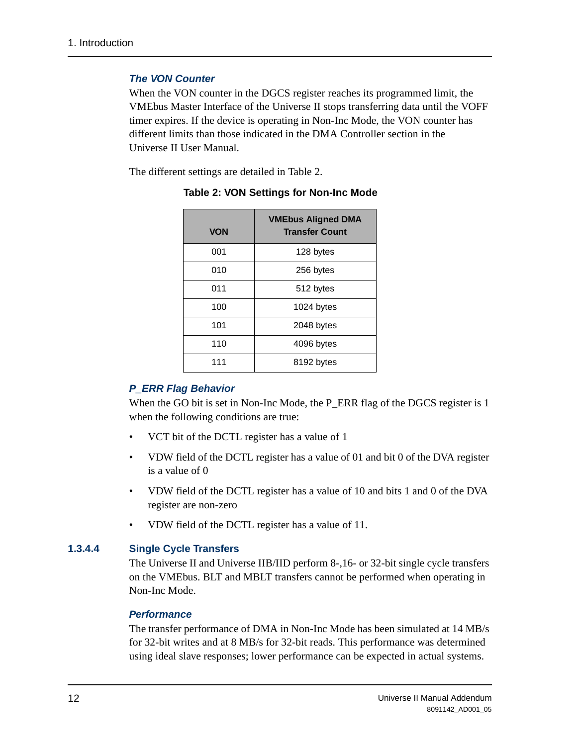#### **The VON Counter**

When the VON counter in the DGCS register reaches its programmed limit, the VMEbus Master Interface of the Universe II stops transferring data until the VOFF timer expires. If the device is operating in Non-Inc Mode, the VON counter has different limits than those indicated in the DMA Controller section in the Universe II User Manual.

The different settings are detailed in [Table 2.](#page-11-0)

| <b>VON</b> | <b>VMEbus Aligned DMA</b><br><b>Transfer Count</b> |
|------------|----------------------------------------------------|
| 001        | 128 bytes                                          |
| 010        | 256 bytes                                          |
| 011        | 512 bytes                                          |
| 100        | 1024 bytes                                         |
| 101        | 2048 bytes                                         |
| 110        | 4096 bytes                                         |
| 111        | 8192 bytes                                         |

<span id="page-11-0"></span>**Table 2: VON Settings for Non-Inc Mode**

#### **P\_ERR Flag Behavior**

When the GO bit is set in Non-Inc Mode, the P\_ERR flag of the DGCS register is 1 when the following conditions are true:

- VCT bit of the DCTL register has a value of 1
- VDW field of the DCTL register has a value of 01 and bit 0 of the DVA register is a value of 0
- VDW field of the DCTL register has a value of 10 and bits 1 and 0 of the DVA register are non-zero
- VDW field of the DCTL register has a value of 11.

#### **1.3.4.4 Single Cycle Transfers**

The Universe II and Universe IIB/IID perform 8-,16- or 32-bit single cycle transfers on the VMEbus. BLT and MBLT transfers cannot be performed when operating in Non-Inc Mode.

#### **Performance**

The transfer performance of DMA in Non-Inc Mode has been simulated at 14 MB/s for 32-bit writes and at 8 MB/s for 32-bit reads. This performance was determined using ideal slave responses; lower performance can be expected in actual systems.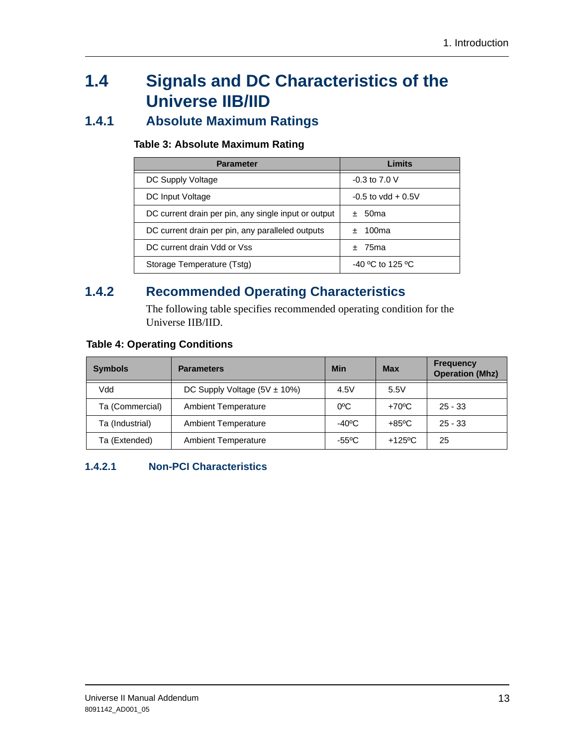# <span id="page-12-0"></span>**1.4 Signals and DC Characteristics of the Universe IIB/IID**

### **1.4.1 Absolute Maximum Ratings**

#### **Table 3: Absolute Maximum Rating**

| <b>Parameter</b>                                     | Limits               |
|------------------------------------------------------|----------------------|
| DC Supply Voltage                                    | $-0.3$ to $7.0$ V    |
| DC Input Voltage                                     | $-0.5$ to vdd + 0.5V |
| DC current drain per pin, any single input or output | ± 50ma               |
| DC current drain per pin, any paralleled outputs     | $±$ 100ma            |
| DC current drain Vdd or Vss                          | $±75$ ma             |
| Storage Temperature (Tstg)                           | $-40$ °C to 125 °C   |

### **1.4.2 Recommended Operating Characteristics**

The following table specifies recommended operating condition for the Universe IIB/IID.

|  |  | <b>Table 4: Operating Conditions</b> |
|--|--|--------------------------------------|
|  |  |                                      |

| <b>Symbols</b>  | <b>Parameters</b>                 | Min              | <b>Max</b>            | <b>Frequency</b><br><b>Operation (Mhz)</b> |
|-----------------|-----------------------------------|------------------|-----------------------|--------------------------------------------|
| Vdd             | DC Supply Voltage $(5V \pm 10\%)$ | 4.5V             | 5.5V                  |                                            |
| Ta (Commercial) | <b>Ambient Temperature</b>        | $0^{\circ}$ C    | $+70^{\circ}$ C       | $25 - 33$                                  |
| Ta (Industrial) | <b>Ambient Temperature</b>        | -40 $^{\circ}$ C | $+85\degree$ C        | $25 - 33$                                  |
| Ta (Extended)   | <b>Ambient Temperature</b>        | $-55^{\circ}$ C  | $+125$ <sup>o</sup> C | 25                                         |

#### **1.4.2.1 Non-PCI Characteristics**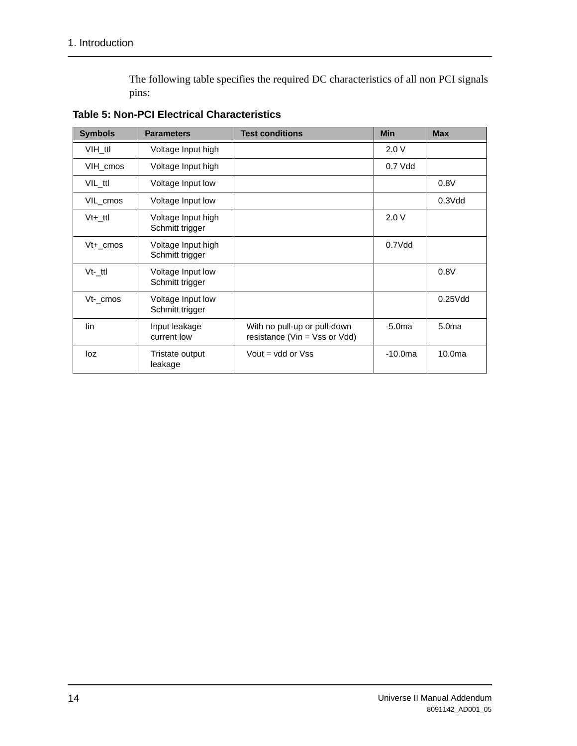The following table specifies the required DC characteristics of all non PCI signals pins:

| <b>Symbols</b> | <b>Parameters</b>                     | <b>Test conditions</b>                                        | <b>Min</b> | <b>Max</b>         |
|----------------|---------------------------------------|---------------------------------------------------------------|------------|--------------------|
| VIH ttl        | Voltage Input high                    |                                                               | 2.0V       |                    |
| VIH cmos       | Voltage Input high                    |                                                               | $0.7$ Vdd  |                    |
| VIL ttl        | Voltage Input low                     |                                                               |            | 0.8V               |
| VIL_cmos       | Voltage Input low                     |                                                               |            | $0.3$ $V$ dd       |
| Vt+ ttl        | Voltage Input high<br>Schmitt trigger |                                                               | 2.0V       |                    |
| $Vt+ cmos$     | Voltage Input high<br>Schmitt trigger |                                                               | $0.7$ Vdd  |                    |
| $Vt-$ ttl      | Voltage Input low<br>Schmitt trigger  |                                                               |            | 0.8V               |
| Vt- cmos       | Voltage Input low<br>Schmitt trigger  |                                                               |            | $0.25$ Vdd         |
| lin            | Input leakage<br>current low          | With no pull-up or pull-down<br>resistance (Vin = Vss or Vdd) | $-5.0ma$   | 5.0 <sub>ma</sub>  |
| loz            | Tristate output<br>leakage            | Vout = $vdd$ or $V$ ss                                        | $-10.0$ ma | 10.0 <sub>ma</sub> |

**Table 5: Non-PCI Electrical Characteristics**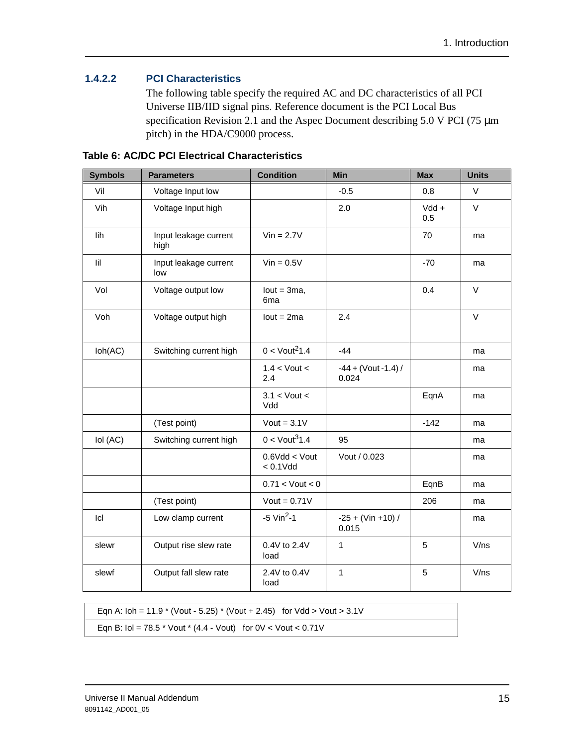#### **1.4.2.2 PCI Characteristics**

The following table specify the required AC and DC characteristics of all PCI Universe IIB/IID signal pins. Reference document is the PCI Local Bus specification Revision 2.1 and the Aspec Document describing 5.0 V PCI (75  $\mu$ m) pitch) in the HDA/C9000 process.

| <b>Symbols</b>              | <b>Parameters</b>             | <b>Condition</b>                  | <b>Min</b>                      | <b>Max</b>     | <b>Units</b> |
|-----------------------------|-------------------------------|-----------------------------------|---------------------------------|----------------|--------------|
| Vil                         | Voltage Input low             |                                   | $-0.5$                          | 0.8            | V            |
| Vih                         | Voltage Input high            |                                   | 2.0                             | $Vdd +$<br>0.5 | $\vee$       |
| lih                         | Input leakage current<br>high | $Vin = 2.7V$                      |                                 | 70             | ma           |
| lil                         | Input leakage current<br>low  | $Vin = 0.5V$                      |                                 | $-70$          | ma           |
| Vol                         | Voltage output low            | $lout = 3ma$ ,<br>6 <sub>ma</sub> |                                 | 0.4            | $\vee$       |
| Voh                         | Voltage output high           | $lout = 2ma$                      | 2.4                             |                | $\vee$       |
|                             |                               |                                   |                                 |                |              |
| $\mathsf{loh}(\mathsf{AC})$ | Switching current high        | $0 <$ Vout <sup>2</sup> 1.4       | $-44$                           |                | ma           |
|                             |                               | $1.4 <$ Vout $<$<br>2.4           | $-44 + (Vout - 1.4) /$<br>0.024 |                | ma           |
|                             |                               | $3.1 <$ Vout $<$<br>Vdd           |                                 | EqnA           | ma           |
|                             | (Test point)                  | $Vout = 3.1V$                     |                                 | $-142$         | ma           |
| lol (AC)                    | Switching current high        | $0 <$ Vout <sup>3</sup> 1.4       | 95                              |                | ma           |
|                             |                               | $0.6$ Vdd < Vout<br>$< 0.1$ Vdd   | Vout / 0.023                    |                | ma           |
|                             |                               | $0.71 <$ Vout $< 0$               |                                 | EqnB           | ma           |
|                             | (Test point)                  | Vout = $0.71V$                    |                                 | 206            | ma           |
| Icl                         | Low clamp current             | $-5$ Vin <sup>2</sup> $-1$        | $-25 + (Vin +10)$ /<br>0.015    |                | ma           |
| slewr                       | Output rise slew rate         | 0.4V to 2.4V<br>load              | 1                               | 5              | V/ns         |
| slewf                       | Output fall slew rate         | 2.4V to 0.4V<br>load              | $\mathbf{1}$                    | 5              | V/ns         |

**Table 6: AC/DC PCI Electrical Characteristics**

Eqn A: Ioh = 11.9 \* (Vout - 5.25) \* (Vout + 2.45) for Vdd > Vout > 3.1V Eqn B:  $\text{Io} = 78.5 \cdot \text{V}$  Vout  $*$  (4.4 - Vout) for 0V < Vout < 0.71V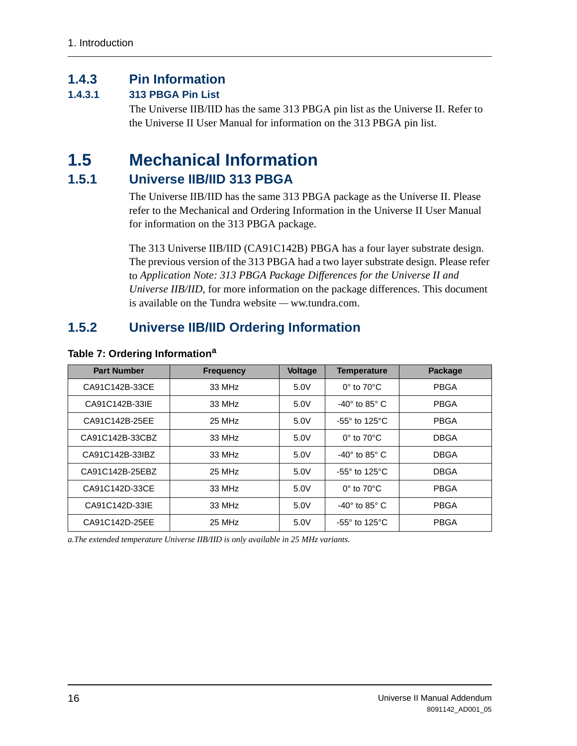### **1.4.3 Pin Information**

#### **1.4.3.1 313 PBGA Pin List**

The Universe IIB/IID has the same 313 PBGA pin list as the Universe II. Refer to the Universe II User Manual for information on the 313 PBGA pin list.

## <span id="page-15-0"></span>**1.5 Mechanical Information**

#### **1.5.1 Universe IIB/IID 313 PBGA**

The Universe IIB/IID has the same 313 PBGA package as the Universe II. Please refer to the Mechanical and Ordering Information in the Universe II User Manual for information on the 313 PBGA package.

The 313 Universe IIB/IID (CA91C142B) PBGA has a four layer substrate design. The previous version of the 313 PBGA had a two layer substrate design. Please refer to *Application Note: 313 PBGA Package Differences for the Universe II and Universe IIB/IID*, for more information on the package differences. This document is available on the Tundra website — ww.tundra.com.

### <span id="page-15-1"></span>**1.5.2 Universe IIB/IID Ordering Information**

| <b>Part Number</b> | <b>Frequency</b> | <b>Voltage</b> | <b>Temperature</b>              | <b>Package</b> |
|--------------------|------------------|----------------|---------------------------------|----------------|
| CA91C142B-33CE     | 33 MHz           | 5.0V           | $0^\circ$ to $70^\circ$ C       | <b>PBGA</b>    |
| CA91C142B-33IE     | 33 MHz           | 5.0V           | $-40^\circ$ to 85 $^\circ$ C    | <b>PBGA</b>    |
| CA91C142B-25EE     | 25 MHz           | 5.0V           | $-55^\circ$ to 125 $^{\circ}$ C | <b>PBGA</b>    |
| CA91C142B-33CBZ    | 33 MHz           | 5.0V           | $0^\circ$ to $70^\circ$ C       | <b>DBGA</b>    |
| CA91C142B-33IBZ    | 33 MHz           | 5.0V           | $-40^\circ$ to 85 $^\circ$ C    | <b>DBGA</b>    |
| CA91C142B-25EBZ    | 25 MHz           | 5.0V           | $-55^\circ$ to 125 $\degree$ C  | <b>DBGA</b>    |
| CA91C142D-33CE     | 33 MHz           | 5.0V           | $0^\circ$ to $70^\circ$ C       | <b>PBGA</b>    |
| CA91C142D-33IE     | 33 MHz           | 5.0V           | $-40^\circ$ to 85 $^\circ$ C    | <b>PBGA</b>    |
| CA91C142D-25EE     | 25 MHz           | 5.0V           | $-55^\circ$ to 125 $^\circ$ C   | <b>PBGA</b>    |

#### **Table 7: Ordering Information<sup>a</sup>**

*a.The extended temperature Universe IIB/IID is only available in 25 MHz variants.*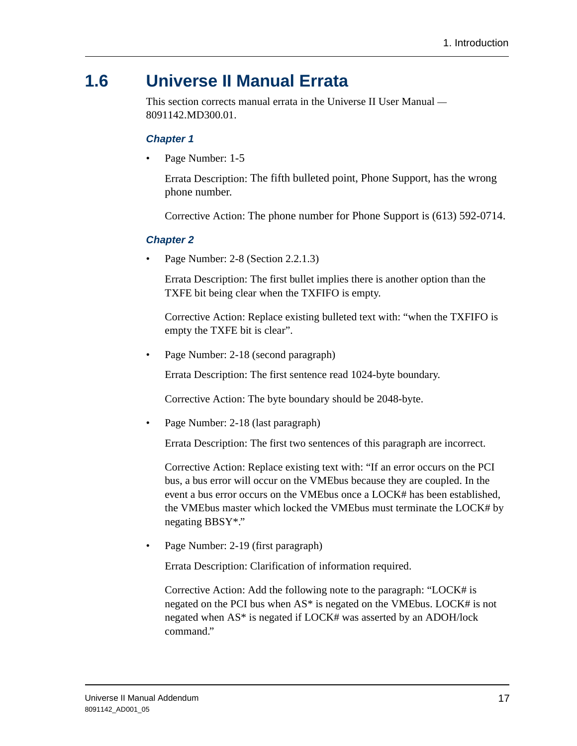# <span id="page-16-0"></span>**1.6 Universe II Manual Errata**

This section corrects manual errata in the Universe II User Manual — 8091142.MD300.01.

#### **Chapter 1**

Page Number: 1-5

Errata Description: The fifth bulleted point, Phone Support, has the wrong phone number.

Corrective Action: The phone number for Phone Support is (613) 592-0714.

#### **Chapter 2**

• Page Number: 2-8 (Section 2.2.1.3)

Errata Description: The first bullet implies there is another option than the TXFE bit being clear when the TXFIFO is empty.

Corrective Action: Replace existing bulleted text with: "when the TXFIFO is empty the TXFE bit is clear".

• Page Number: 2-18 (second paragraph)

Errata Description: The first sentence read 1024-byte boundary.

Corrective Action: The byte boundary should be 2048-byte.

• Page Number: 2-18 (last paragraph)

Errata Description: The first two sentences of this paragraph are incorrect.

Corrective Action: Replace existing text with: "If an error occurs on the PCI bus, a bus error will occur on the VMEbus because they are coupled. In the event a bus error occurs on the VMEbus once a LOCK# has been established, the VMEbus master which locked the VMEbus must terminate the LOCK# by negating BBSY\*."

Page Number: 2-19 (first paragraph)

Errata Description: Clarification of information required.

Corrective Action: Add the following note to the paragraph: "LOCK# is negated on the PCI bus when AS\* is negated on the VMEbus. LOCK# is not negated when AS\* is negated if LOCK# was asserted by an ADOH/lock command."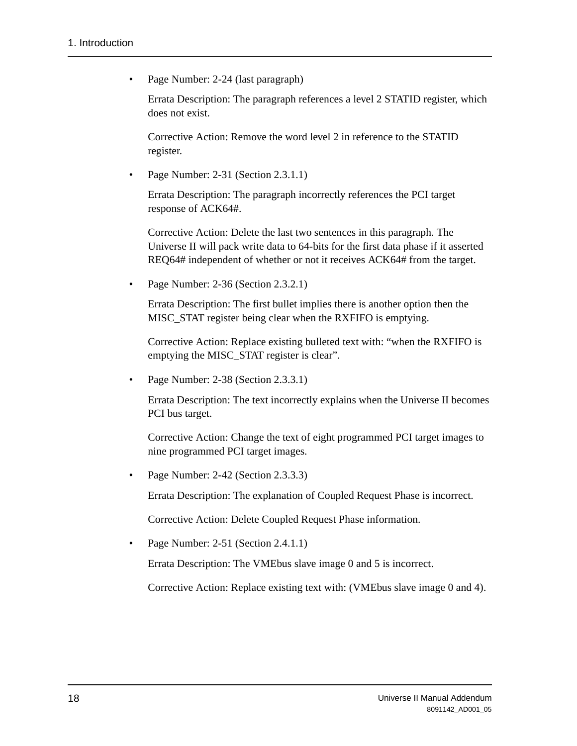• Page Number: 2-24 (last paragraph)

Errata Description: The paragraph references a level 2 STATID register, which does not exist.

Corrective Action: Remove the word level 2 in reference to the STATID register.

• Page Number: 2-31 (Section 2.3.1.1)

Errata Description: The paragraph incorrectly references the PCI target response of ACK64#.

Corrective Action: Delete the last two sentences in this paragraph. The Universe II will pack write data to 64-bits for the first data phase if it asserted REQ64# independent of whether or not it receives ACK64# from the target.

• Page Number: 2-36 (Section 2.3.2.1)

Errata Description: The first bullet implies there is another option then the MISC STAT register being clear when the RXFIFO is emptying.

Corrective Action: Replace existing bulleted text with: "when the RXFIFO is emptying the MISC\_STAT register is clear".

• Page Number: 2-38 (Section 2.3.3.1)

Errata Description: The text incorrectly explains when the Universe II becomes PCI bus target.

Corrective Action: Change the text of eight programmed PCI target images to nine programmed PCI target images.

• Page Number: 2-42 (Section 2.3.3.3)

Errata Description: The explanation of Coupled Request Phase is incorrect.

Corrective Action: Delete Coupled Request Phase information.

• Page Number: 2-51 (Section 2.4.1.1)

Errata Description: The VMEbus slave image 0 and 5 is incorrect.

Corrective Action: Replace existing text with: (VMEbus slave image 0 and 4).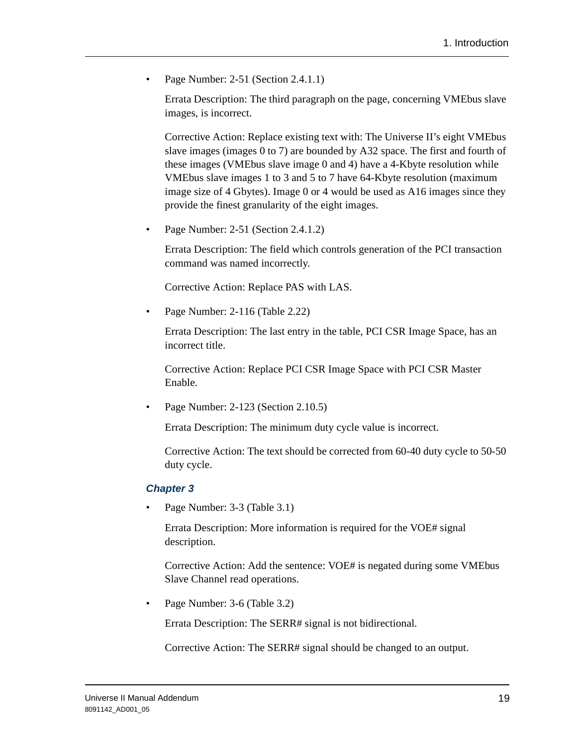• Page Number: 2-51 (Section 2.4.1.1)

Errata Description: The third paragraph on the page, concerning VMEbus slave images, is incorrect.

Corrective Action: Replace existing text with: The Universe II's eight VMEbus slave images (images 0 to 7) are bounded by A32 space. The first and fourth of these images (VMEbus slave image 0 and 4) have a 4-Kbyte resolution while VMEbus slave images 1 to 3 and 5 to 7 have 64-Kbyte resolution (maximum image size of 4 Gbytes). Image 0 or 4 would be used as A16 images since they provide the finest granularity of the eight images.

• Page Number: 2-51 (Section 2.4.1.2)

Errata Description: The field which controls generation of the PCI transaction command was named incorrectly.

Corrective Action: Replace PAS with LAS.

• Page Number: 2-116 (Table 2.22)

Errata Description: The last entry in the table, PCI CSR Image Space, has an incorrect title.

Corrective Action: Replace PCI CSR Image Space with PCI CSR Master Enable.

• Page Number: 2-123 (Section 2.10.5)

Errata Description: The minimum duty cycle value is incorrect.

Corrective Action: The text should be corrected from 60-40 duty cycle to 50-50 duty cycle.

#### **Chapter 3**

Page Number: 3-3 (Table 3.1)

Errata Description: More information is required for the VOE# signal description.

Corrective Action: Add the sentence: VOE# is negated during some VMEbus Slave Channel read operations.

Page Number: 3-6 (Table 3.2)

Errata Description: The SERR# signal is not bidirectional.

Corrective Action: The SERR# signal should be changed to an output.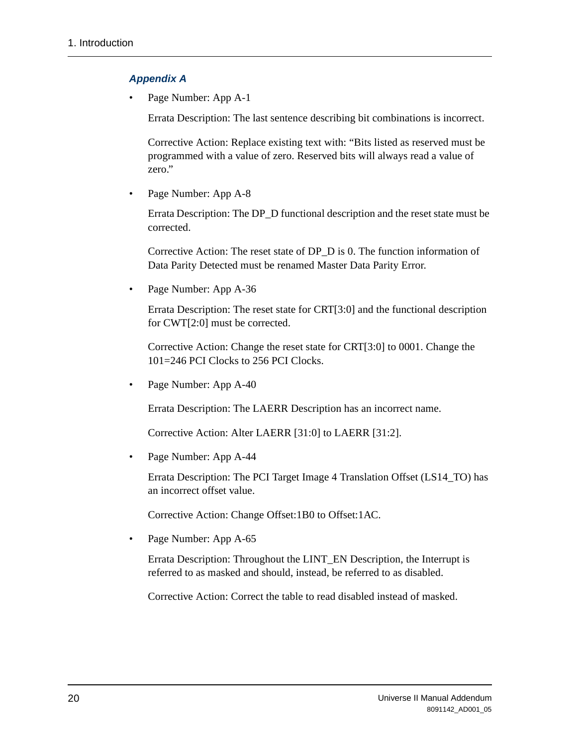#### **Appendix A**

Page Number: App A-1

Errata Description: The last sentence describing bit combinations is incorrect.

Corrective Action: Replace existing text with: "Bits listed as reserved must be programmed with a value of zero. Reserved bits will always read a value of zero."

Page Number: App A-8

Errata Description: The DP\_D functional description and the reset state must be corrected.

Corrective Action: The reset state of DP\_D is 0. The function information of Data Parity Detected must be renamed Master Data Parity Error.

• Page Number: App A-36

Errata Description: The reset state for CRT[3:0] and the functional description for CWT[2:0] must be corrected.

Corrective Action: Change the reset state for CRT[3:0] to 0001. Change the 101=246 PCI Clocks to 256 PCI Clocks.

• Page Number: App A-40

Errata Description: The LAERR Description has an incorrect name.

Corrective Action: Alter LAERR [31:0] to LAERR [31:2].

Page Number: App A-44

Errata Description: The PCI Target Image 4 Translation Offset (LS14\_TO) has an incorrect offset value.

Corrective Action: Change Offset:1B0 to Offset:1AC.

Page Number: App A-65

Errata Description: Throughout the LINT\_EN Description, the Interrupt is referred to as masked and should, instead, be referred to as disabled.

Corrective Action: Correct the table to read disabled instead of masked.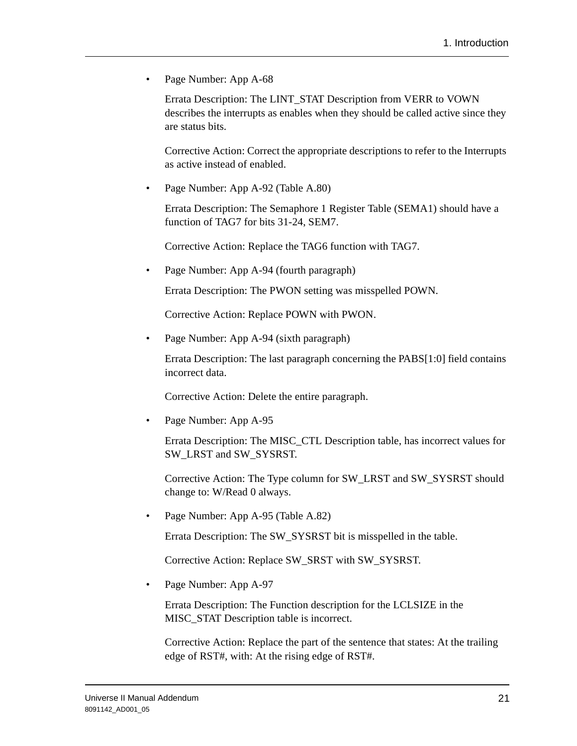Page Number: App A-68

Errata Description: The LINT\_STAT Description from VERR to VOWN describes the interrupts as enables when they should be called active since they are status bits.

Corrective Action: Correct the appropriate descriptions to refer to the Interrupts as active instead of enabled.

• Page Number: App A-92 (Table A.80)

Errata Description: The Semaphore 1 Register Table (SEMA1) should have a function of TAG7 for bits 31-24, SEM7.

Corrective Action: Replace the TAG6 function with TAG7.

Page Number: App A-94 (fourth paragraph)

Errata Description: The PWON setting was misspelled POWN.

Corrective Action: Replace POWN with PWON.

Page Number: App A-94 (sixth paragraph)

Errata Description: The last paragraph concerning the PABS[1:0] field contains incorrect data.

Corrective Action: Delete the entire paragraph.

Page Number: App A-95

Errata Description: The MISC\_CTL Description table, has incorrect values for SW\_LRST and SW\_SYSRST.

Corrective Action: The Type column for SW\_LRST and SW\_SYSRST should change to: W/Read 0 always.

Page Number: App A-95 (Table A.82)

Errata Description: The SW\_SYSRST bit is misspelled in the table.

Corrective Action: Replace SW\_SRST with SW\_SYSRST.

• Page Number: App A-97

Errata Description: The Function description for the LCLSIZE in the MISC\_STAT Description table is incorrect.

Corrective Action: Replace the part of the sentence that states: At the trailing edge of RST#, with: At the rising edge of RST#.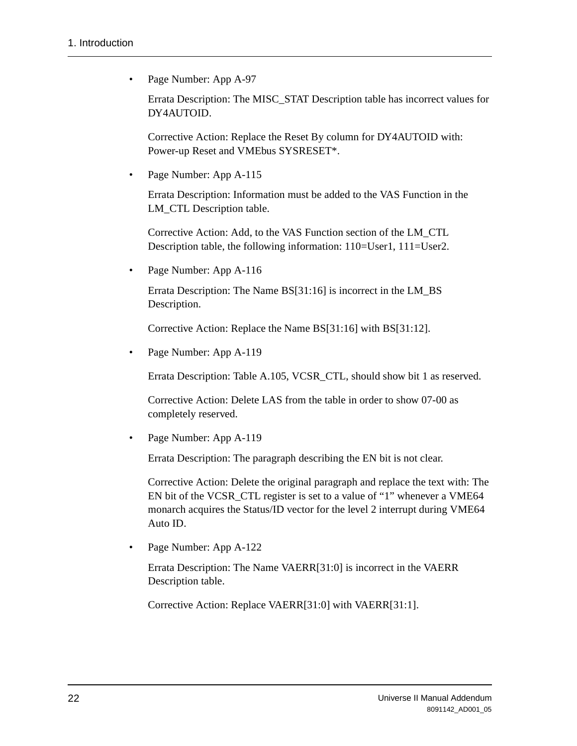• Page Number: App A-97

Errata Description: The MISC\_STAT Description table has incorrect values for DY4AUTOID.

Corrective Action: Replace the Reset By column for DY4AUTOID with: Power-up Reset and VMEbus SYSRESET\*.

Page Number: App A-115

Errata Description: Information must be added to the VAS Function in the LM CTL Description table.

Corrective Action: Add, to the VAS Function section of the LM\_CTL Description table, the following information: 110=User1, 111=User2.

Page Number: App A-116

Errata Description: The Name BS[31:16] is incorrect in the LM\_BS Description.

Corrective Action: Replace the Name BS[31:16] with BS[31:12].

Page Number: App A-119

Errata Description: Table A.105, VCSR\_CTL, should show bit 1 as reserved.

Corrective Action: Delete LAS from the table in order to show 07-00 as completely reserved.

Page Number: App A-119

Errata Description: The paragraph describing the EN bit is not clear.

Corrective Action: Delete the original paragraph and replace the text with: The EN bit of the VCSR\_CTL register is set to a value of "1" whenever a VME64 monarch acquires the Status/ID vector for the level 2 interrupt during VME64 Auto ID.

Page Number: App A-122

Errata Description: The Name VAERR[31:0] is incorrect in the VAERR Description table.

Corrective Action: Replace VAERR[31:0] with VAERR[31:1].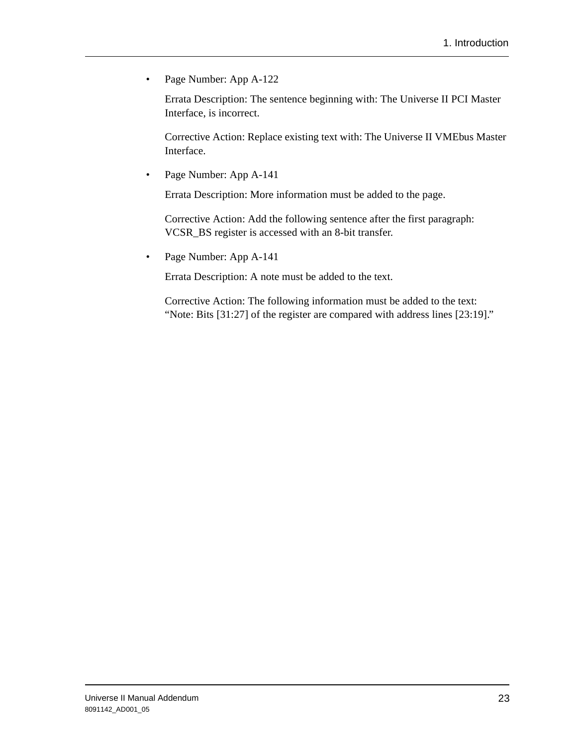• Page Number: App A-122

Errata Description: The sentence beginning with: The Universe II PCI Master Interface, is incorrect.

Corrective Action: Replace existing text with: The Universe II VMEbus Master Interface.

• Page Number: App A-141

Errata Description: More information must be added to the page.

Corrective Action: Add the following sentence after the first paragraph: VCSR\_BS register is accessed with an 8-bit transfer.

• Page Number: App A-141

Errata Description: A note must be added to the text.

Corrective Action: The following information must be added to the text: "Note: Bits [31:27] of the register are compared with address lines [23:19]."